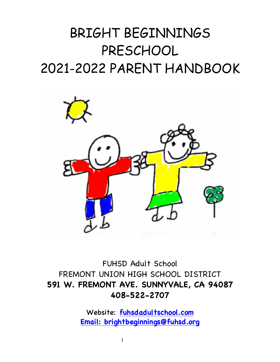# BRIGHT BEGINNINGS PRESCHOOL 2021-2022 PARENT HANDBOOK



FUHSD Adult School FREMONT UNION HIGH SCHOOL DISTRICT **591 W. FREMONT AVE. SUNNYVALE, CA 94087 408-522-2707**

> Website: **fuhsdadultschool.com Email: brightbeginnings@fuhsd.org**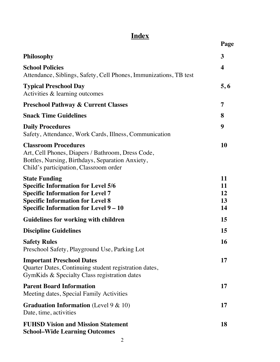# **Index**

|                                                                                                                                                                                                         | Page                       |
|---------------------------------------------------------------------------------------------------------------------------------------------------------------------------------------------------------|----------------------------|
| Philosophy                                                                                                                                                                                              | 3                          |
| <b>School Policies</b><br>Attendance, Siblings, Safety, Cell Phones, Immunizations, TB test                                                                                                             | $\boldsymbol{4}$           |
| <b>Typical Preschool Day</b><br>Activities & learning outcomes                                                                                                                                          | 5,6                        |
| <b>Preschool Pathway &amp; Current Classes</b>                                                                                                                                                          | 7                          |
| <b>Snack Time Guidelines</b>                                                                                                                                                                            | 8                          |
| <b>Daily Procedures</b><br>Safety, Attendance, Work Cards, Illness, Communication                                                                                                                       | 9                          |
| <b>Classroom Procedures</b><br>Art, Cell Phones, Diapers / Bathroom, Dress Code,<br>Bottles, Nursing, Birthdays, Separation Anxiety,<br>Child's participation, Classroom order                          | 10                         |
| <b>State Funding</b><br><b>Specific Information for Level 5/6</b><br><b>Specific Information for Level 7</b><br><b>Specific Information for Level 8</b><br><b>Specific Information for Level 9 – 10</b> | 11<br>11<br>12<br>13<br>14 |
| <b>Guidelines for working with children</b>                                                                                                                                                             | 15                         |
| <b>Discipline Guidelines</b>                                                                                                                                                                            | 15                         |
| <b>Safety Rules</b><br>Preschool Safety, Playground Use, Parking Lot                                                                                                                                    | <b>16</b>                  |
| <b>Important Preschool Dates</b><br>Quarter Dates, Continuing student registration dates,<br>GymKids & Specialty Class registration dates                                                               | 17                         |
| <b>Parent Board Information</b><br>Meeting dates, Special Family Activities                                                                                                                             | 17                         |
| <b>Graduation Information</b> (Level $9 \& 10$ )<br>Date, time, activities                                                                                                                              | 17                         |
| <b>FUHSD Vision and Mission Statement</b><br><b>School–Wide Learning Outcomes</b>                                                                                                                       | 18                         |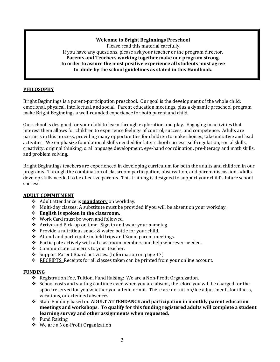# **Welcome to Bright Beginnings Preschool**

Please read this material carefully. If you have any questions, please ask your teacher or the program director. Parents and Teachers working together make our program strong. In order to assure the most positive experience all students must agree to abide by the school guidelines as stated in this Handbook.

# **PHILOSOPHY**

Bright Beginnings is a parent-participation preschool. Our goal is the development of the whole child: emotional, physical, intellectual, and social. Parent education meetings, plus a dynamic preschool program make Bright Beginnings a well-rounded experience for both parent and child.

Our school is designed for your child to learn through exploration and play. Engaging in activities that interest them allows for children to experience feelings of control, success, and competence. Adults are partners in this process, providing many opportunities for children to make choices, take initiative and lead activities. We emphasize foundational skills needed for later school success: self-regulation, social skills, creativity, original thinking, oral language development, eye-hand coordination, pre-literacy and math skills, and problem solving.

Bright Beginnings teachers are experienced in developing curriculum for both the adults and children in our programs. Through the combination of classroom participation, observation, and parent discussion, adults develop skills needed to be effective parents. This training is designed to support your child's future school success.

# **ADULT COMMITMENT**

- **❖** Adult attendance is **mandator** on workday.
- $\cdot$  Multi-day classes: A substitute must be provided if you will be absent on your workday.
- **❖** English is spoken in the classroom.
- ◆ Work Card must be worn and followed.
- $\cdot$  Arrive and Pick-up on time. Sign in and wear your nametag.
- $\cdot$  Provide a nutritious snack & water bottle for your child.
- $\triangle$  Attend and participate in field trips and Zoom parent meetings.
- $\div$  Participate actively with all classroom members and help wherever needed.
- $\div$  Communicate concerns to your teacher.
- $\div$  Support Parent Board activities. (Information on page 17)
- $\triangle$  RECEIPTS: Receipts for all classes taken can be printed from your online account.

#### **FUNDING**

- \* Registration Fee, Tuition, Fund Raising: We are a Non-Profit Organization.
- $\cdot$  School costs and staffing continue even when you are absent, therefore you will be charged for the space reserved for you whether you attend or not. There are no tuition/fee adjustments for illness, vacations, or extended absences.
- $\cdot$  State Funding based on **ADULT ATTENDANCE** and participation in monthly parent education **meetings and workshops. To qualify for this funding registered adults will complete a student** learning survey and other assignments when requested.
- $\div$  Fund Raising
- $\div$  We are a Non-Profit Organization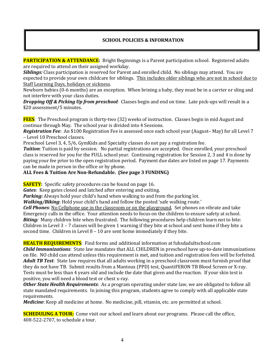# **SCHOOL POLICIES & INFORMATION**

**PARTICIPATION & ATTENDANCE:** Bright Beginnings is a Parent participation school. Registered adults are required to attend on their assigned workday.

**Siblings:** Class participation is reserved for Parent and enrolled child. No siblings may attend. You are expected to provide your own childcare for siblings. This includes older siblings who are not in school due to Staff Learning Days, holidays or sickness.

Newborn babies (0-6 months) are an exception. When brining a baby, they must be in a carrier or sling and not interfere with your class duties.

**Dropping Off & Picking Up from preschool**: Classes begin and end on time. Late pick-ups will result in a \$20 assessment/5 minutes.

**FEES**: The Preschool program is thirty-two (32) weeks of instruction. Classes begin in mid August and continue through May. The school year is divided into 4 Sessions.

Registration Fee: An \$100 Registration Fee is assessed once each school year (August- May) for all Level 7 – Level 10 Preschool classes. 

Preschool Level 3, 4, 5/6, GymKids and Specialty classes do not pay a registration fee.

*Tuition*: Tuition is paid by session. No partial registrations are accepted. Once enrolled, your preschool class is reserved for you for the FULL school year. Continuing registration for Session 2, 3 and 4 is done by paying your fee prior to the open registration period. Payment due dates are listed on page 17. Payments can be made in person in the office or by phone.

# ALL Fees & Tuition Are Non-Refundable. (See page 3 FUNDING)

**SAFETY:** Specific safety procedures can be found on page 16.

*Gates*: Keep gates closed and latched after entering and exiting.

**Parking:** Always hold your child's hand when walking to and from the parking lot.

*Walking/Biking*: Hold your child's hand and follow the posted 'safe walking route.'

**Cell Phones**: No Cellphone use in the classroom or on the playground. Set phones on vibrate and take Emergency calls in the office. Your attention needs to focus on the children to ensure safety at school. **Biting:** Many children bite when frustrated. The following procedures help children learn not to bite: Children in Level  $3 - 7$  classes will be given 1 warning if they bite at school and sent home if they bite a second time. Children in Level  $8 - 10$  are sent home immediately if they bite.

#### **HEALTH REQUIREMENTS:** Find forms and additional information at fuhsdadultschool.com

**Child Immunizations**: State law mandates that ALL CHILDREN in preschool have up-to-date immunizations on file. NO child can attend unless this requirement is met, and tuition and registration fees will be forfeited. Adult TB Test: State law requires that all adults working in a preschool classroom must furnish proof that they do not have TB. Submit results from a Mantoux (PPD) test, QuantiFERON TB Blood Screen or X-ray. Tests must be less than 4 years old and include the date that given and the reaction. If your skin test is positive, you will need a blood test or chest x-ray.

**Other State Health Requirements**: As a program operating under state law, we are obligated to follow all state mandated requirements. In joining this program, students agree to comply with all applicable state requirements.

*Medicine*: Keep all medicine at home. No medicine, pill, vitamin, etc. are permitted at school.

**SCHEDULING A TOUR:** Come visit our school and learn about our programs. Please call the office,  $408 - 522 - 2707$ , to schedule a tour.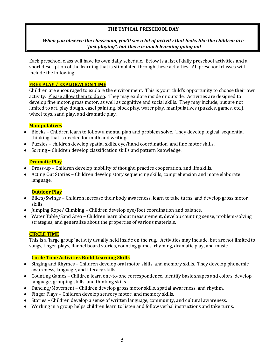# **THE TYPICAL PRESCHOOL DAY**

# When you observe the classroom, you'll see a lot of activity that looks like the children are "*just playing*", but there is much learning going on!

Each preschool class will have its own daily schedule. Below is a list of daily preschool activities and a short description of the learning that is stimulated through these activities. All preschool classes will include the following:

# **FREE PLAY / EXPLORATION TIME**

Children are encouraged to explore the environment. This is your child's opportunity to choose their own activity. Please allow them to do so. They may explore inside or outside. Activities are designed to develop fine motor, gross motor, as well as cognitive and social skills. They may include, but are not limited to art, play dough, easel painting, block play, water play, manipulatives (puzzles, games, etc.), wheel toys, sand play, and dramatic play.

# **Manipulatives**

- $\bullet$  Blocks Children learn to follow a mental plan and problem solve. They develop logical, sequential thinking that is needed for math and writing.
- $\bullet$  Puzzles children develop spatial skills, eye/hand coordination, and fine motor skills.
- $\bullet$  Sorting Children develop classification skills and pattern knowledge.

# **Dramatic Play**

- $\bullet$  Dress-up Children develop mobility of thought, practice cooperation, and life skills.
- $\triangleq$  Acting Out Stories Children develop story sequencing skills, comprehension and more elaborate language.

# **Outdoor Play**

- $\bullet$  Bikes/Swings Children increase their body awareness, learn to take turns, and develop gross motor skills.
- $\bullet$  Jumping Rope/ Climbing Children develop eye/foot coordination and balance.
- Water Table/Sand Area Children learn about measurement, develop counting sense, problem-solving strategies, and generalize about the properties of various materials.

# **CIRCLE TIME**

This is a 'large group' activity usually held inside on the rug. Activities may include, but are not limited to songs, finger-plays, flannel board stories, counting games, rhyming, dramatic play, and music.

# **Circle Time Activities Build Learning Skills**

- $\bullet$  Singing and Rhymes Children develop oral motor skills, and memory skills. They develop phonemic awareness, language, and literacy skills.
- Counting Games Children learn one-to-one correspondence, identify basic shapes and colors, develop language, grouping skills, and thinking skills.
- $\bullet$  Dancing/Movement Children develop gross motor skills, spatial awareness, and rhythm.
- $\bullet$  Finger Plays Children develop sensory motor, and memory skills.
- $\bullet$  Stories Children develop a sense of written language, community, and cultural awareness.
- $\blacklozenge$  Working in a group helps children learn to listen and follow verbal instructions and take turns.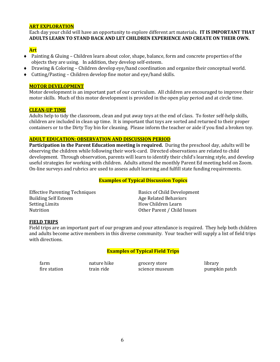## **ART EXPLORATION**

Each day your child will have an opportunity to explore different art materials. **IT IS IMPORTANT THAT** ADULTS LEARN TO STAND BACK AND LET CHILDREN EXPERIENCE AND CREATE ON THEIR OWN.

# **Art**

- $\bullet$  Painting & Gluing Children learn about color, shape, balance, form and concrete properties of the objects they are using. In addition, they develop self-esteem.
- $\bullet$  Drawing & Coloring Children develop eye/hand coordination and organize their conceptual world.
- $\bullet$  Cutting/Pasting Children develop fine motor and eye/hand skills.

#### **MOTOR DEVELOPMENT**

Motor development is an important part of our curriculum. All children are encouraged to improve their motor skills. Much of this motor development is provided in the open play period and at circle time.

#### **CLEAN-UP TIME**

Adults help to tidy the classroom, clean and put away toys at the end of class. To foster self-help skills, children are included in clean up time. It is important that toys are sorted and returned to their proper containers or to the Dirty Toy bin for cleaning. Please inform the teacher or aide if you find a broken toy.

#### **ADULT EDUCATION: OBSERVATION AND DISCUSSION PERIOD**

**Participation in the Parent Education meeting is required.** During the preschool day, adults will be observing the children while following their work-card. Directed observations are related to child development. Through observation, parents will learn to identify their child's learning style, and develop useful strategies for working with children. Adults attend the monthly Parent Ed meeting held on Zoom. On-line surveys and rubrics are used to assess adult learning and fulfill state funding requirements.

#### **Examples of Typical Discussion Topics**

Effective Parenting Techniques Basics of Child Development Building Self Esteem Age Related Behaviors Setting Limits **How** Children Learn Nutrition **Nutrition** Other Parent / Child Issues

#### **FIELD TRIPS**

Field trips are an important part of our program and your attendance is required. They help both children and adults become active members in this diverse community. Your teacher will supply a list of field trips with directions.

# **Examples of Typical Field Trips**

farm **nature hike** grocery store library fire station train ride science museum pumpkin patch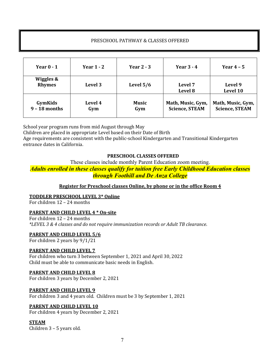# PRESCHOOL PATHWAY & CLASSES OFFERED

| Year $0 - 1$               | Year $1 - 2$          | Year $2 - 3$ | Year $3 - 4$                               | Year $4-5$                                 |
|----------------------------|-----------------------|--------------|--------------------------------------------|--------------------------------------------|
| Wiggles &<br><b>Rhymes</b> | Level 3               | Level $5/6$  | Level 7<br>Level 8                         | Level 9<br>Level 10                        |
| GymKids<br>$9 - 18$ months | <b>Level 4</b><br>Gym | Music<br>Gym | Math, Music, Gym,<br><b>Science, STEAM</b> | Math, Music, Gym,<br><b>Science, STEAM</b> |

School year program runs from mid August through May

Children are placed in appropriate Level based on their Date of Birth

Age requirements are consistent with the public-school Kindergarten and Transitional Kindergarten entrance dates in California.

# **PRESCHOOL CLASSES OFFERED**

These classes include monthly Parent Education zoom meeting.

*Adults enrolled in these classes qualify for tuition free Early Childhood Education classes through Foothill and De Anza College*

# **Register for Preschool classes Online, by phone or in the office Room 4**

#### **TODDLER PRESCHOOL LEVEL 3\* Online**

For children  $12 - 24$  months

#### **PARENT AND CHILD LEVEL 4 \* On-site**

For children  $12 - 24$  months *\*LEVEL 3 & 4 classes and do not require immunization records or Adult TB clearance*.

#### **PARENT AND CHILD LEVEL 5/6**

For children 2 years by  $9/1/21$ 

#### **PARENT AND CHILD LEVEL 7**

For children who turn 3 between September 1, 2021 and April 30, 2022 Child must be able to communicate basic needs in English.

#### **PARENT AND CHILD LEVEL 8**

For children 3 years by December 2, 2021

#### **PARENT AND CHILD LEVEL 9**

For children 3 and 4 years old. Children must be 3 by September 1, 2021

#### **PARENT AND CHILD LEVEL 10**

For children 4 years by December 2, 2021

#### **STEAM**

Children  $3 - 5$  years old.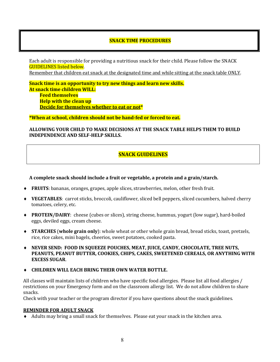# **SNACK TIME PROCEDURES**

Each adult is responsible for providing a nutritious snack for their child. Please follow the SNACK **GUIDELINES** listed below.

Remember that children eat snack at the designated time and while sitting at the snack table ONLY.

**Snack time is an opportunity to try new things and learn new skills. At snack time children WILL: Feed themselves Help with the clean up Decide for themselves whether to eat or not\*** 

**\*When at school, children should not be hand-fed or forced to eat.** 

ALLOWING YOUR CHILD TO MAKE DECISIONS AT THE SNACK TABLE HELPS THEM TO BUILD **INDEPENDENCE AND SELF-HELP SKILLS.** 

# **SNACK GUIDELINES**

#### **A complete snack should include a fruit or vegetable, a protein and a grain/starch.**

- FRUITS: bananas, oranges, grapes, apple slices, strawberries, melon, other fresh fruit.
- **VEGETABLES**: carrot sticks, broccoli, cauliflower, sliced bell peppers, sliced cucumbers, halved cherry tomatoes, celery, etc.
- **◆ PROTEIN/DAIRY:** cheese (cubes or slices), string cheese, hummus, yogurt (low sugar), hard-boiled eggs, deviled eggs, cream cheese.
- ◆ **STARCHES** (whole grain only): whole wheat or other whole grain bread, bread sticks, toast, pretzels, rice, rice cakes, mini bagels, cheerios, sweet potatoes, cooked pasta.
- **EXELUATE:** FOOD IN SQUEEZE POUCHES, MEAT, JUICE, CANDY, CHOCOLATE, TREE NUTS, PEANUTS, PEANUT BUTTER, COOKIES, CHIPS, CAKES, SWEETENED CEREALS, OR ANYTHING WITH **EXCESS SUGAR**.
- **CHILDREN WILL EACH BRING THEIR OWN WATER BOTTLE.**

All classes will maintain lists of children who have specific food allergies. Please list all food allergies / restrictions on your Emergency form and on the classroom allergy list. We do not allow children to share snacks.

Check with your teacher or the program director if you have questions about the snack guidelines.

#### **REMINDER FOR ADULT SNACK**

Adults may bring a small snack for themselves. Please eat your snack in the kitchen area.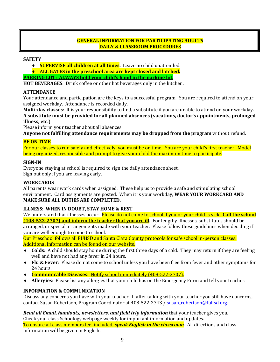# **GENERAL INFORMATION FOR PARTICIPATING ADULTS DAILY & CLASSROOM PROCEDURES**

#### **SAFETY**

- **SUPERVISE all children at all times.** Leave no child unattended.
- ◆ ALL GATES in the preschool area are kept closed and latched.

**PARKING LOT: ALWAYS hold your child's hand in the parking lot.** 

**HOT BEVERAGES:** Drink coffee or other hot beverages only in the kitchen.

#### **ATTENDANCE**

Your attendance and participation are the keys to a successful program. You are required to attend on your assigned workday. Attendance is recorded daily.

**Multi-day classes**: It is your responsibility to find a substitute if you are unable to attend on your workday. A substitute must be provided for all planned absences (vacations, doctor's appointments, prolonged **illness, etc.)** 

Please inform your teacher about all absences.

Anyone not fulfilling attendance requirements may be dropped from the program without refund.

#### **BE ON TIME**

For our classes to run safely and effectively, you must be on time. You are your child's first teacher. Model being organized, responsible and prompt to give your child the maximum time to participate.

#### **SIGN-IN**

Everyone staying at school is required to sign the daily attendance sheet. Sign out only if you are leaving early.

# **WORKCARDS**

All parents wear work cards when assigned. These help us to provide a safe and stimulating school environment. Card assignments are posted. When it is your workday, **WEAR YOUR WORKCARD AND MAKE SURE ALL DUTIES ARE COMPLETED.** 

# **ILLNESS: WHEN IN DOUBT, STAY HOME & REST**

We understand that illnesses occur. Please do not come to school if you or your child is sick. **Call the school (408-522-2707) and inform the teacher that you are ill**. For lengthy illnesses, substitutes should be

arranged, or special arrangements made with your teacher. Please follow these guidelines when deciding if you are well enough to come to school.

Our Preschool follows all FUHSD and Santa Clara County protocols for safe school in-person classes. Additional information can be found on our website.

- **Colds**: A child should stay home during the first three days of a cold. They may return if they are feeling well and have not had any fever in 24 hours.
- **◆ Flu & Fever**: Please do not come to school unless you have been free from fever and other symptoms for 24 hours.
- **Communicable Diseases:** Notify school immediately (408-522-2707).
- Allergies: Please list any allergies that your child has on the Emergency Form and tell your teacher.

# **INFORMATION & COMMUNICATION**

Discuss any concerns you have with your teacher. If after talking with your teacher you still have concerns, contact Susan Robertson, Program Coordinator at 408-522-2743 / susan robertson@fuhsd.org.

*Read all Email, handouts, newsletters, and field trip information* **that your teacher gives you.** Check your class Schoology webpage weekly for important information and updates. To ensure all class members feel included, *speak English in the classroom*. All directions and class information will be given in English.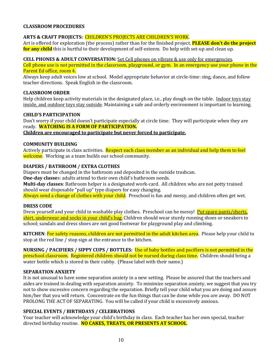# **CLASSROOM PROCEDURES**

## ARTS & CRAFT PROJECTS: CHILDREN'S PROJECTS ARE CHILDREN'S WORK.

Art is offered for exploration (the process) rather than for the finished project. **PLEASE don't do the project for any child** this is hurtful to their development of self-esteem. Do help with set-up and clean up.

#### **CELL PHONES & ADULT CONVERSATION:** Set Cell phones on vibrate & use only for emergencies.

Cell phone use is not permitted in the classroom, playground, or gym. In an emergency use your phone in the Parent Ed office, room 4.

Always keep adult voices low at school. Model appropriate behavior at circle-time: sing, dance, and follow teacher directions. Speak English in the classroom.

#### **CLASSROOM ORDER**

Help children keep activity materials in the designated place, i.e., play dough on the table. Indoor toys stay inside, and outdoor toys stay outside. Maintaining a safe and orderly environment is important to learning.

#### **CHILD'S PARTICIPATION**

Don't worry if your child doesn't participate especially at circle time. They will participate when they are ready. **WATCHING IS A FORM OF PARTICIPATION.** 

**Children are encouraged to participate but never forced to participate.** 

# **COMMUNITY BUILDING**

Actively participate in class activities. Respect each class member as an individual and help them to feel welcome. Working as a team builds our school community.

#### **DIAPERS / BATHROOM / EXTRA CLOTHES**

Diapers must be changed in the bathroom and deposited in the outside trashcan.

**One-day classe**s: adults attend to their own child's bathroom needs.

**Multi-day classes**: Bathroom helper is a designated work-card. All children who are not potty trained should wear disposable "pull up" type diapers for easy changing.

Always send a change of clothes with your child. Preschool is fun and messy, and children often get wet.

#### **DRESS CODE**

Dress yourself and your child in washable play clothes. Preschool can be messy! Put spare pants/shorts, shirt, underwear and socks in your child's bag. Children should wear sturdy running shoes or sneakers to school; sandals and dress shoes are not good footwear for playground play and climbing.

**KITCHEN**: For safety reasons, children are not permitted in the adult kitchen area. Please help your child to stop at the red line / stop sign at the entrance to the kitchen.

**NURSING** / PACIFIERS / SIPPY CUPS / BOTTLES: Use of baby bottles and pacifiers is not permitted in the preschool classroom. Registered children should not be nursed during class time. Children should bring a water bottle which is stored in their cubby. (Please label with their name.)

#### **SEPARATION ANXIETY**

It is not unusual to have some separation anxiety in a new setting. Please be assured that the teachers and aides are trained in dealing with separation anxiety. To minimize separation anxiety, we suggest that you try not to show excessive concern regarding the separation. Briefly tell your child what you are doing and assure him/her that you will return. Concentrate on the fun things that can be done while you are away. DO NOT PROLONG THE ACT OF SEPARATING. You will be called if your child is excessively anxious.

#### **SPECIAL EVENTS / BIRTHDAYS / CELEBRATIONS**

Your teacher will acknowledge your child's birthday in class. Each teacher has her own special, teacher directed birthday routine. NO CAKES, TREATS, OR PRESENTS AT SCHOOL.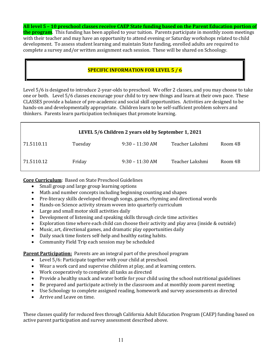**All level 5 - 10 preschool classes receive CAEP State funding based on the Parent Education portion of the program**. This funding has been applied to your tuition. Parents participate in monthly zoom meetings with their teacher and may have an opportunity to attend evening or Saturday workshops related to child development. To assess student learning and maintain State funding, enrolled adults are required to complete a survey and/or written assignment each session. These will be shared on Schoology.

# **SPECIFIC INFORMATION FOR LEVEL 5 / 6**

Level 5/6 is designed to introduce 2-year-olds to preschool. We offer 2 classes, and you may choose to take one or both. Level 5/6 classes encourage your child to try new things and learn at their own pace. These CLASSES provide a balance of pre-academic and social skill opportunities. Activities are designed to be hands-on and developmentally appropriate. Children learn to be self-sufficient problem solvers and thinkers. Parents learn participation techniques that promote learning.

| LEVEL 5/6 Children 2 years old by September 1, 2021 |         |                   |                 |         |
|-----------------------------------------------------|---------|-------------------|-----------------|---------|
| 71.5110.11                                          | Tuesday | $9:30 - 11:30$ AM | Teacher Lakshmi | Room 4B |
| 71.5110.12                                          | Friday  | $9:30 - 11:30$ AM | Teacher Lakshmi | Room 4B |

**Core Curriculum**: Based on State Preschool Guidelines

- Small group and large group learning options
- Math and number concepts including beginning counting and shapes
- Pre-literacy skills developed through songs, games, rhyming and directional words
- Hands-on Science activity stream woven into quarterly curriculum
- Large and small motor skill activities daily
- Development of listening and speaking skills through circle time activities
- Exploration time where each child can choose their activity and play area (inside & outside)
- Music, art, directional games, and dramatic play opportunities daily
- Daily snack time fosters self-help and healthy eating habits.
- Community Field Trip each session may be scheduled

**Parent Participation:** Parents are an integral part of the preschool program

- Level 5/6: Participate together with your child at preschool.
- Wear a work card and supervise children at play, and at learning centers.
- Work cooperatively to complete all tasks as directed
- Provide a healthy snack and water bottle for your child using the school nutritional guidelines
- Be prepared and participate actively in the classroom and at monthly zoom parent meeting
- Use Schoology to complete assigned reading, homework and survey assessments as directed
- Arrive and Leave on time.

These classes qualify for reduced fees through California Adult Education Program (CAEP) funding based on active parent participation and survey assessment described above.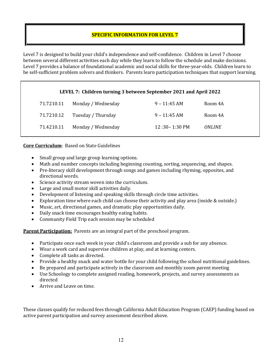# **SPECIFIC INFORMATION FOR LEVEL 7**

Level 7 is designed to build your child's independence and self-confidence. Children in Level 7 choose between several different activities each day while they learn to follow the schedule and make decisions. Level 7 provides a balance of foundational academic and social skills for three-year-olds. Children learn to be self-sufficient problem solvers and thinkers. Parents learn participation techniques that support learning.

# LEVEL 7: Children turning 3 between September 2021 and April 2022

| 71.7210.11 | Monday / Wednesday | $9 - 11:45$ AM    | Room 4A              |
|------------|--------------------|-------------------|----------------------|
| 71.7210.12 | Tuesday / Thursday | $9 - 11:45$ AM    | Room 4A              |
| 71.4210.11 | Monday / Wednesday | $12:30 - 1:30$ PM | <i><b>ONLINE</b></i> |

# **Core Curriculum:** Based on State Guidelines

- Small group and large group learning options.
- Math and number concepts including beginning counting, sorting, sequencing, and shapes.
- Pre-literacy skill development through songs and games including rhyming, opposites, and directional words.
- Science activity stream woven into the curriculum.
- Large and small motor skill activities daily.
- Development of listening and speaking skills through circle time activities.
- Exploration time where each child can choose their activity and play area (inside & outside.)
- Music, art, directional games, and dramatic play opportunities daily.
- Daily snack time encourages healthy eating habits.
- Community Field Trip each session may be scheduled

**Parent Participation:** Parents are an integral part of the preschool program.

- Participate once each week in your child's classroom and provide a sub for any absence.
- Wear a work card and supervise children at play, and at learning centers.
- Complete all tasks as directed.
- Provide a healthy snack and water bottle for your child following the school nutritional guidelines.
- Be prepared and participate actively in the classroom and monthly zoom parent meeting
- Use Schoology to complete assigned reading, homework, projects, and survey assessments as directed
- Arrive and Leave on time.

These classes qualify for reduced fees through California Adult Education Program (CAEP) funding based on active parent participation and survey assessment described above.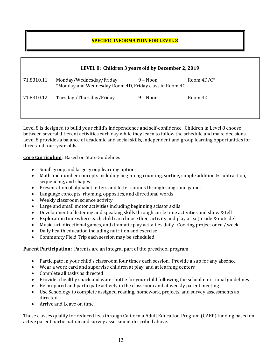# **SPECIFIC INFORMATION FOR LEVEL 8**

|            | LEVEL 8: Children 3 years old by December 2, 2019                                 |             |               |  |
|------------|-----------------------------------------------------------------------------------|-------------|---------------|--|
| 71.8310.11 | Monday/Wednesday/Friday<br>*Monday and Wednesday Room 4D, Friday class in Room 4C | 9 – Noon    | Room $4D/C^*$ |  |
| 71.8310.12 | Tuesday /Thursday/Friday                                                          | $9 - N$ oon | Room 4D       |  |

Level 8 is designed to build your child's independence and self-confidence. Children in Level 8 choose between several different activities each day while they learn to follow the schedule and make decisions. Level 8 provides a balance of academic and social skills, independent and group learning opportunities for three-and four-year-olds.

**Core Curriculum:** Based on State Guidelines

- $\bullet$  Small group and large group learning options
- Math and number concepts including beginning counting, sorting, simple addition & subtraction, sequencing, and shapes
- Presentation of alphabet letters and letter sounds through songs and games
- Language concepts: rhyming, opposites, and directional words
- Weekly classroom science activity
- Large and small motor activities including beginning scissor skills
- Development of listening and speaking skills through circle time activities and show & tell
- Exploration time where each child can choose their activity and play area (inside & outside)
- Music, art, directional games, and dramatic play activities daily. Cooking project once / week
- Daily health education including nutrition and exercise
- Community Field Trip each session may be scheduled

**Parent Participation:** Parents are an integral part of the preschool program.

- Participate in your child's classroom four times each session. Provide a sub for any absence
- Wear a work card and supervise children at play, and at learning centers
- Complete all tasks as directed
- Provide a healthy snack and water bottle for your child following the school nutritional guidelines
- Be prepared and participate actively in the classroom and at weekly parent meeting
- Use Schoology to complete assigned reading, homework, projects, and survey assessments as directed
- Arrive and Leave on time.

These classes qualify for reduced fees through California Adult Education Program (CAEP) funding based on active parent participation and survey assessment described above.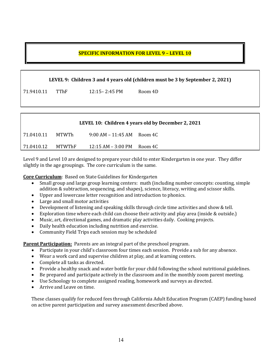# **SPECIFIC INFORMATION FOR LEVEL 9 - LEVEL 10**

**LEVEL 9: Children 3 and 4 years old (children must be 3 by September 2, 2021)** 

71.9410.11 TThF 12:15– 2:45 PM Room 4D

|            |        |                               | LEVEL 10: Children 4 years old by December 2, 2021 |
|------------|--------|-------------------------------|----------------------------------------------------|
| 71.0410.11 | MTWTh  | $9:00$ AM $-11:45$ AM Room 4C |                                                    |
| 71.0410.12 | MTWThF | 12:15 AM – 3:00 PM            | Room 4C                                            |

Level 9 and Level 10 are designed to prepare your child to enter Kindergarten in one year. They differ slightly in the age groupings. The core curriculum is the same.

**Core Curriculum**: Based on State Guidelines for Kindergarten

- Small group and large group learning centers: math (including number concepts: counting, simple addition & subtraction, sequencing, and shapes), science, literacy, writing and scissor skills.
- Upper and lowercase letter recognition and introduction to phonics.
- Large and small motor activities
- Development of listening and speaking skills through circle time activities and show & tell.
- Exploration time where each child can choose their activity and play area (inside & outside.)
- Music, art, directional games, and dramatic play activities daily. Cooking projects.
- Daily health education including nutrition and exercise.
- Community Field Trips each session may be scheduled

**Parent Participation:** Parents are an integral part of the preschool program.

- Participate in your child's classroom four times each session. Provide a sub for any absence.
- Wear a work card and supervise children at play, and at learning centers.
- Complete all tasks as directed.
- Provide a healthy snack and water bottle for your child following the school nutritional guidelines.
- Be prepared and participate actively in the classroom and in the monthly zoom parent meeting.
- Use Schoology to complete assigned reading, homework and surveys as directed.
- Arrive and Leave on time.

These classes qualify for reduced fees through California Adult Education Program (CAEP) funding based on active parent participation and survey assessment described above.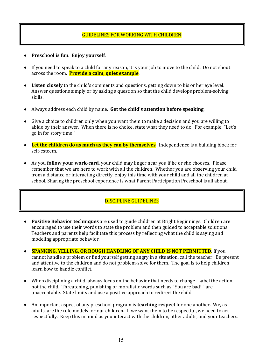# **GUIDELINES FOR WORKING WITH CHILDREN**

- ◆ Preschool is fun. Enjoy yourself.
- $\bullet$  If you need to speak to a child for any reason, it is your job to move to the child. Do not shout across the room. **Provide a calm, quiet example**.
- ◆ Listen closely to the child's comments and questions, getting down to his or her eye level. Answer questions simply or by asking a question so that the child develops problem-solving skills.
- Always address each child by name. Get the child's attention before speaking.
- $\bullet$  Give a choice to children only when you want them to make a decision and you are willing to abide by their answer. When there is no choice, state what they need to do. For example: "Let's go in for story time."
- ◆ Let the children do as much as they can by themselves. Independence is a building block for self-esteem.
- ◆ As you **follow your work-card**, your child may linger near you if he or she chooses. Please remember that we are here to work with all the children. Whether you are observing your child from a distance or interacting directly, enjoy this time with your child and all the children at school. Sharing the preschool experience is what Parent Participation Preschool is all about.

# DISCIPLINE GUIDELINES

- ◆ **Positive Behavior techniques** are used to guide children at Bright Beginnings. Children are encouraged to use their words to state the problem and then guided to acceptable solutions. Teachers and parents help facilitate this process by reflecting what the child is saying and modeling appropriate behavior.
- **EXPANKING, YELLING, OR ROUGH HANDLING OF ANY CHILD IS NOT PERMITTED.** If you cannot handle a problem or find yourself getting angry in a situation, call the teacher. Be present and attentive to the children and do not problem-solve for them. The goal is to help children learn how to handle conflict.
- When disciplining a child, always focus on the behavior that needs to change. Label the action, not the child. Threatening, punishing or moralistic words such as "You are bad!" are unacceptable. State limits and use a positive approach to redirect the child.
- ◆ An important aspect of any preschool program is **teaching respect** for one another. We, as adults, are the role models for our children. If we want them to be respectful, we need to act respectfully. Keep this in mind as you interact with the children, other adults, and your teachers.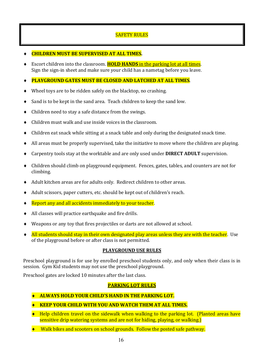# **SAFETY RULES**

#### **CHILDREN MUST BE SUPERVISED AT ALL TIMES.**

Escort children into the classroom. **HOLD HANDS** in the parking lot at all times. Sign the sign-in sheet and make sure your child has a nametag before you leave.

# **PLAYGROUND GATES MUST BE CLOSED AND LATCHED AT ALL TIMES.**

- $\blacklozenge$  Wheel toys are to be ridden safely on the blacktop, no crashing.
- $\bullet$  Sand is to be kept in the sand area. Teach children to keep the sand low.
- Children need to stay a safe distance from the swings.
- Children must walk and use inside voices in the classroom.
- $\bullet$  Children eat snack while sitting at a snack table and only during the designated snack time.
- All areas must be properly supervised, take the initiative to move where the children are playing.
- Carpentry tools stay at the worktable and are only used under **DIRECT ADULT** supervision.
- Children should climb on playground equipment. Fences, gates, tables, and counters are not for climbing.
- $\blacklozenge$  Adult kitchen areas are for adults only. Redirect children to other areas.
- Adult scissors, paper cutters, etc. should be kept out of children's reach.
- $\triangle$  Report any and all accidents immediately to your teacher.
- $\blacklozenge$  All classes will practice earthquake and fire drills.
- Weapons or any toy that fires projectiles or darts are not allowed at school.
- $\triangleq$  All students should stay in their own designated play areas unless they are with the teacher. Use of the playground before or after class is not permitted.

#### **PLAYGROUND USE RULES**

Preschool playground is for use by enrolled preschool students only, and only when their class is in session. Gym Kid students may not use the preschool playground.

Preschool gates are locked 10 minutes after the last class.

# **PARKING LOT RULES**

**EXECUTE: ALWAYS HOLD YOUR CHILD'S HAND IN THE PARKING LOT.** 

## **KEEP YOUR CHILD WITH YOU AND WATCH THEM AT ALL TIMES.**

- $\bullet$  Help children travel on the sidewalk when walking to the parking lot. (Planted areas have sensitive drip watering systems and are not for hiding, playing, or walking.)
- $\blacklozenge$  Walk bikes and scooters on school grounds. Follow the posted safe pathway.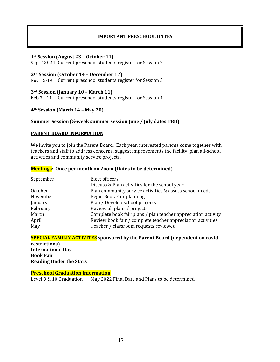# **IMPORTANT PRESCHOOL DATES**

#### **1st Session (August 23 – October 11)**

Sept. 20-24 Current preschool students register for Session 2

#### **2nd Session (October 14 – December 17)**

Nov. 15-19 Current preschool students register for Session 3

#### **3rd Session (January 10 – March 11)**

Feb 7 - 11 Current preschool students register for Session 4

#### **4th Session (March 14 – May 20)**

#### **Summer Session (5-week summer session June / July dates TBD)**

#### **PARENT BOARD INFORMATION**

We invite you to join the Parent Board. Each year, interested parents come together with teachers and staff to address concerns, suggest improvements the facility, plan all-school activities and community service projects.

#### **Meetings:** Once per month on Zoom (Dates to be determined)

| September | Elect officers.                                               |
|-----------|---------------------------------------------------------------|
|           | Discuss & Plan activities for the school year                 |
| October   | Plan community service activities & assess school needs       |
| November  | Begin Book Fair planning                                      |
| January   | Plan / Develop school projects                                |
| February  | Review all plans / projects                                   |
| March     | Complete book fair plans / plan teacher appreciation activity |
| April     | Review book fair / complete teacher appreciation activities   |
| May       | Teacher / classroom requests reviewed                         |

**SPECIAL FAMILIY ACTIVITES** sponsored by the Parent Board (dependent on covid **restrictions) International Day Book Fair Reading Under the Stars** 

#### **Preschool Graduation Information**

Level 9 & 10 Graduation May 2022 Final Date and Plans to be determined